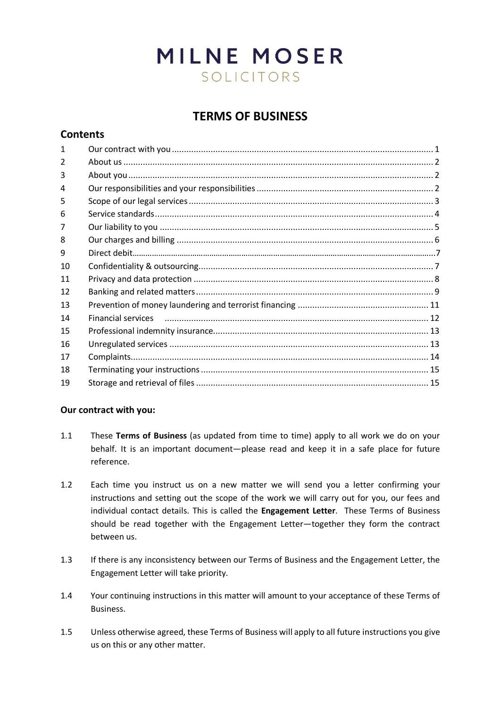# **MILNE MOSER** SOLICITORS

# **TERMS OF BUSINESS**

# **Contents**

| 1             |                                                                                                                                                                                                                               |
|---------------|-------------------------------------------------------------------------------------------------------------------------------------------------------------------------------------------------------------------------------|
| $\mathcal{P}$ |                                                                                                                                                                                                                               |
| 3             |                                                                                                                                                                                                                               |
| 4             |                                                                                                                                                                                                                               |
| 5             |                                                                                                                                                                                                                               |
| 6             |                                                                                                                                                                                                                               |
|               |                                                                                                                                                                                                                               |
| 8             |                                                                                                                                                                                                                               |
| 9             |                                                                                                                                                                                                                               |
| 10            |                                                                                                                                                                                                                               |
| 11            |                                                                                                                                                                                                                               |
| 12            |                                                                                                                                                                                                                               |
| 13            |                                                                                                                                                                                                                               |
| 14            | Financial services (1990) (1990) (1990) (1991) (1991) (1991) (1991) (1991) (1991) (1991) (1991) (1991) (1991) (1991) (1991) (1991) (1991) (1991) (1991) (1991) (1991) (1991) (1991) (1991) (1991) (1991) (1991) (1991) (1991) |
| 15            |                                                                                                                                                                                                                               |
| 16            |                                                                                                                                                                                                                               |
| 17            |                                                                                                                                                                                                                               |
| 18            |                                                                                                                                                                                                                               |
| 19            |                                                                                                                                                                                                                               |
|               |                                                                                                                                                                                                                               |

# **Our contract with you:**

- 1.1 These **Terms of Business** (as updated from time to time) apply to all work we do on your behalf. It is an important document—please read and keep it in a safe place for future reference.
- 1.2 Each time you instruct us on a new matter we will send you a letter confirming your instructions and setting out the scope of the work we will carry out for you, our fees and individual contact details. This is called the **Engagement Letter**. These Terms of Business should be read together with the Engagement Letter—together they form the contract between us.
- 1.3 If there is any inconsistency between our Terms of Business and the Engagement Letter, the Engagement Letter will take priority.
- 1.4 Your continuing instructions in this matter will amount to your acceptance of these Terms of Business.
- 1.5 Unless otherwise agreed, these Terms of Business will apply to all future instructions you give us on this or any other matter.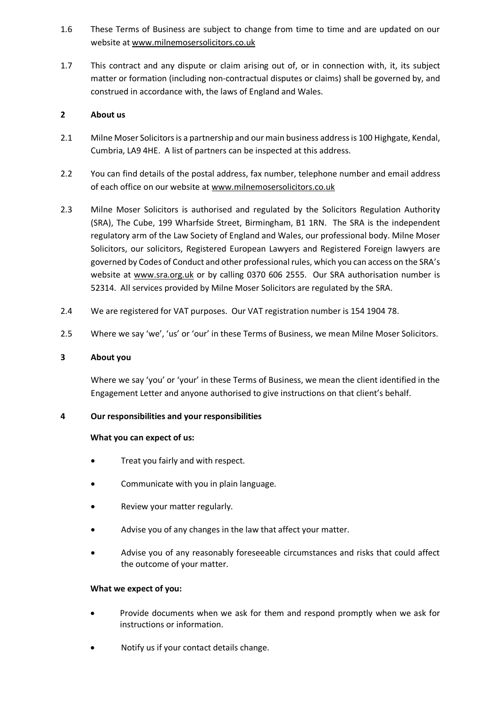- 1.6 These Terms of Business are subject to change from time to time and are updated on our website at [www.milnemosersolicitors.co.uk](http://www.milnemosersolicitors.co.uk/)
- 1.7 This contract and any dispute or claim arising out of, or in connection with, it, its subject matter or formation (including non-contractual disputes or claims) shall be governed by, and construed in accordance with, the laws of England and Wales.

# **2 About us**

- 2.1 Milne Moser Solicitors is a partnership and our main business address is 100 Highgate, Kendal, Cumbria, LA9 4HE. A list of partners can be inspected at this address.
- 2.2 You can find details of the postal address, fax number, telephone number and email address of each office on our website at [www.milnemosersolicitors.co.uk](http://www.milnemosersolicitors.co.uk/)
- 2.3 Milne Moser Solicitors is authorised and regulated by the Solicitors Regulation Authority (SRA), The Cube, 199 Wharfside Street, Birmingham, B1 1RN. The SRA is the independent regulatory arm of the Law Society of England and Wales, our professional body. Milne Moser Solicitors, our solicitors, Registered European Lawyers and Registered Foreign lawyers are governed by Codes of Conduct and other professional rules, which you can access on the SRA's website at www.sra.org.uk or by calling 0370 606 2555. Our SRA authorisation number is 52314. All services provided by Milne Moser Solicitors are regulated by the SRA.
- 2.4 We are registered for VAT purposes. Our VAT registration number is 154 1904 78.
- 2.5 Where we say 'we', 'us' or 'our' in these Terms of Business, we mean Milne Moser Solicitors.

# **3 About you**

Where we say 'you' or 'your' in these Terms of Business, we mean the client identified in the Engagement Letter and anyone authorised to give instructions on that client's behalf.

# **4 Our responsibilities and your responsibilities**

#### **What you can expect of us:**

- Treat you fairly and with respect.
- Communicate with you in plain language.
- Review your matter regularly.
- Advise you of any changes in the law that affect your matter.
- Advise you of any reasonably foreseeable circumstances and risks that could affect the outcome of your matter.

# **What we expect of you:**

- Provide documents when we ask for them and respond promptly when we ask for instructions or information.
- Notify us if your contact details change.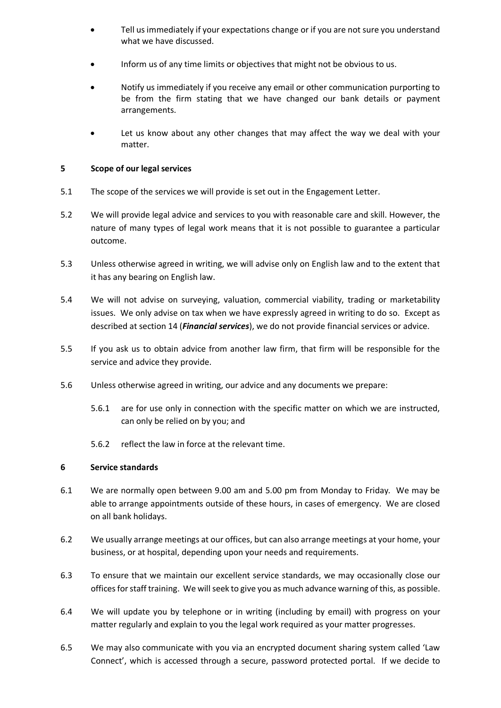- Tell us immediately if your expectations change or if you are not sure you understand what we have discussed.
- Inform us of any time limits or objectives that might not be obvious to us.
- Notify us immediately if you receive any email or other communication purporting to be from the firm stating that we have changed our bank details or payment arrangements.
- Let us know about any other changes that may affect the way we deal with your matter.

#### **5 Scope of our legal services**

- 5.1 The scope of the services we will provide is set out in the Engagement Letter.
- 5.2 We will provide legal advice and services to you with reasonable care and skill. However, the nature of many types of legal work means that it is not possible to guarantee a particular outcome.
- 5.3 Unless otherwise agreed in writing, we will advise only on English law and to the extent that it has any bearing on English law.
- 5.4 We will not advise on surveying, valuation, commercial viability, trading or marketability issues. We only advise on tax when we have expressly agreed in writing to do so. Except as described at section 14 (*Financial services*), we do not provide financial services or advice.
- 5.5 If you ask us to obtain advice from another law firm, that firm will be responsible for the service and advice they provide.
- 5.6 Unless otherwise agreed in writing, our advice and any documents we prepare:
	- 5.6.1 are for use only in connection with the specific matter on which we are instructed, can only be relied on by you; and
	- 5.6.2 reflect the law in force at the relevant time.

#### **6 Service standards**

- 6.1 We are normally open between 9.00 am and 5.00 pm from Monday to Friday*.* We may be able to arrange appointments outside of these hours, in cases of emergency. We are closed on all bank holidays.
- 6.2 We usually arrange meetings at our offices, but can also arrange meetings at your home, your business, or at hospital, depending upon your needs and requirements.
- 6.3 To ensure that we maintain our excellent service standards, we may occasionally close our offices for staff training. We will seek to give you as much advance warning of this, as possible.
- 6.4 We will update you by telephone or in writing (including by email) with progress on your matter regularly and explain to you the legal work required as your matter progresses.
- 6.5 We may also communicate with you via an encrypted document sharing system called 'Law Connect', which is accessed through a secure, password protected portal. If we decide to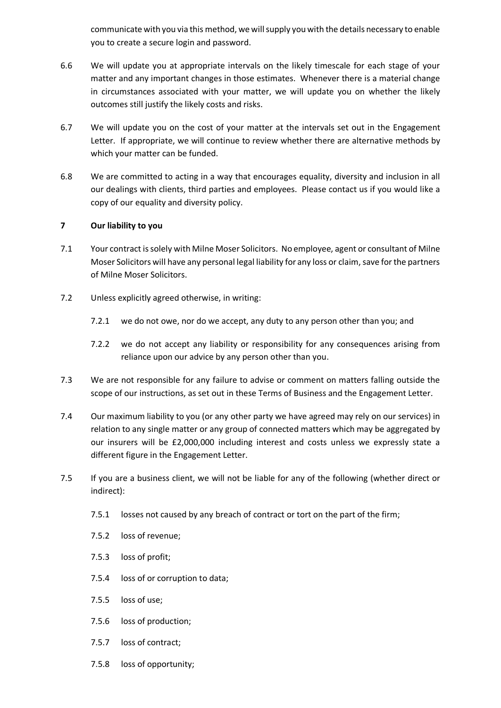communicate with you via this method, we will supply you with the details necessary to enable you to create a secure login and password.

- 6.6 We will update you at appropriate intervals on the likely timescale for each stage of your matter and any important changes in those estimates. Whenever there is a material change in circumstances associated with your matter, we will update you on whether the likely outcomes still justify the likely costs and risks.
- 6.7 We will update you on the cost of your matter at the intervals set out in the Engagement Letter. If appropriate, we will continue to review whether there are alternative methods by which your matter can be funded.
- 6.8 We are committed to acting in a way that encourages equality, diversity and inclusion in all our dealings with clients, third parties and employees. Please contact us if you would like a copy of our equality and diversity policy.

# **7 Our liability to you**

- 7.1 Your contract is solely with Milne Moser Solicitors. No employee, agent or consultant of Milne Moser Solicitors will have any personal legal liability for any loss or claim, save for the partners of Milne Moser Solicitors.
- 7.2 Unless explicitly agreed otherwise, in writing:
	- 7.2.1 we do not owe, nor do we accept, any duty to any person other than you; and
	- 7.2.2 we do not accept any liability or responsibility for any consequences arising from reliance upon our advice by any person other than you.
- 7.3 We are not responsible for any failure to advise or comment on matters falling outside the scope of our instructions, as set out in these Terms of Business and the Engagement Letter.
- 7.4 Our maximum liability to you (or any other party we have agreed may rely on our services) in relation to any single matter or any group of connected matters which may be aggregated by our insurers will be £2,000,000 including interest and costs unless we expressly state a different figure in the Engagement Letter.
- 7.5 If you are a business client, we will not be liable for any of the following (whether direct or indirect):
	- 7.5.1 losses not caused by any breach of contract or tort on the part of the firm;
	- 7.5.2 loss of revenue;
	- 7.5.3 loss of profit;
	- 7.5.4 loss of or corruption to data;
	- 7.5.5 loss of use;
	- 7.5.6 loss of production;
	- 7.5.7 loss of contract;
	- 7.5.8 loss of opportunity;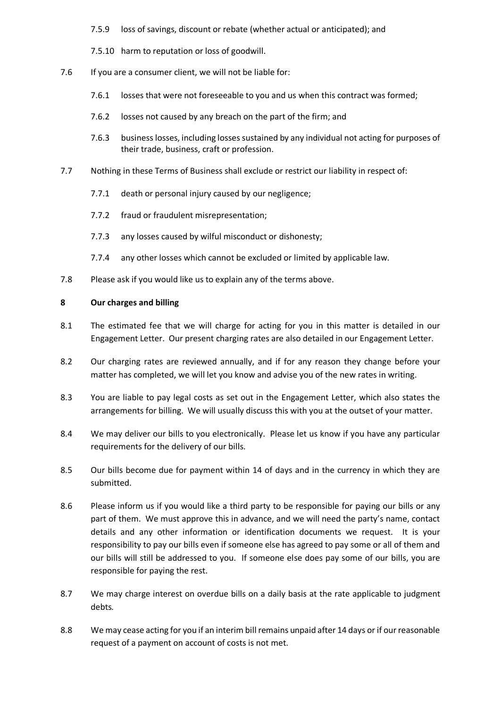- 7.5.9 loss of savings, discount or rebate (whether actual or anticipated); and
- 7.5.10 harm to reputation or loss of goodwill.
- 7.6 If you are a consumer client, we will not be liable for:
	- 7.6.1 losses that were not foreseeable to you and us when this contract was formed;
	- 7.6.2 losses not caused by any breach on the part of the firm; and
	- 7.6.3 business losses, including losses sustained by any individual not acting for purposes of their trade, business, craft or profession.
- 7.7 Nothing in these Terms of Business shall exclude or restrict our liability in respect of:
	- 7.7.1 death or personal injury caused by our negligence;
	- 7.7.2 fraud or fraudulent misrepresentation;
	- 7.7.3 any losses caused by wilful misconduct or dishonesty;
	- 7.7.4 any other losses which cannot be excluded or limited by applicable law.
- 7.8 Please ask if you would like us to explain any of the terms above.

#### **8 Our charges and billing**

- 8.1 The estimated fee that we will charge for acting for you in this matter is detailed in our Engagement Letter. Our present charging rates are also detailed in our Engagement Letter.
- 8.2 Our charging rates are reviewed annually, and if for any reason they change before your matter has completed, we will let you know and advise you of the new rates in writing.
- 8.3 You are liable to pay legal costs as set out in the Engagement Letter, which also states the arrangements for billing. We will usually discuss this with you at the outset of your matter.
- 8.4 We may deliver our bills to you electronically. Please let us know if you have any particular requirements for the delivery of our bills.
- 8.5 Our bills become due for payment within 14 of days and in the currency in which they are submitted.
- 8.6 Please inform us if you would like a third party to be responsible for paying our bills or any part of them. We must approve this in advance, and we will need the party's name, contact details and any other information or identification documents we request. It is your responsibility to pay our bills even if someone else has agreed to pay some or all of them and our bills will still be addressed to you. If someone else does pay some of our bills, you are responsible for paying the rest.
- 8.7 We may charge interest on overdue bills on a daily basis at the rate applicable to judgment debts*.*
- 8.8 We may cease acting for you if an interim bill remains unpaid after 14 days or if our reasonable request of a payment on account of costs is not met.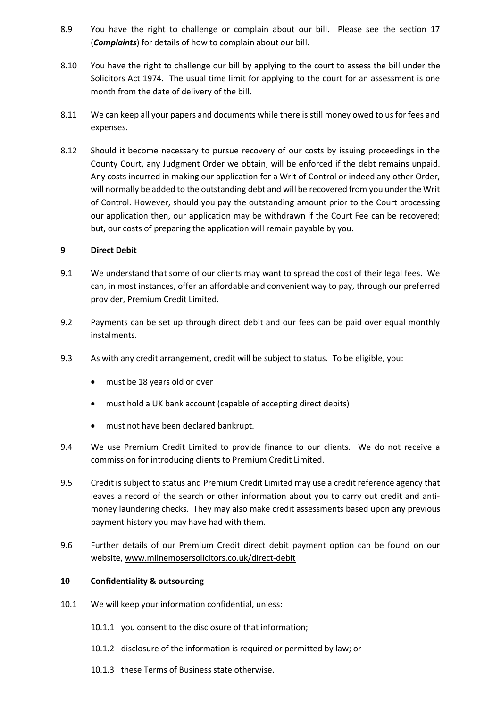- 8.9 You have the right to challenge or complain about our bill. Please see the section 17 (*Complaints*) for details of how to complain about our bill.
- 8.10 You have the right to challenge our bill by applying to the court to assess the bill under the Solicitors Act 1974. The usual time limit for applying to the court for an assessment is one month from the date of delivery of the bill.
- 8.11 We can keep all your papers and documents while there is still money owed to us for fees and expenses.
- 8.12 Should it become necessary to pursue recovery of our costs by issuing proceedings in the County Court, any Judgment Order we obtain, will be enforced if the debt remains unpaid. Any costs incurred in making our application for a Writ of Control or indeed any other Order, will normally be added to the outstanding debt and will be recovered from you under the Writ of Control. However, should you pay the outstanding amount prior to the Court processing our application then, our application may be withdrawn if the Court Fee can be recovered; but, our costs of preparing the application will remain payable by you.

#### **9 Direct Debit**

- 9.1 We understand that some of our clients may want to spread the cost of their legal fees. We can, in most instances, offer an affordable and convenient way to pay, through our preferred provider, Premium Credit Limited.
- 9.2 Payments can be set up through direct debit and our fees can be paid over equal monthly instalments.
- 9.3 As with any credit arrangement, credit will be subject to status. To be eligible, you:
	- must be 18 years old or over
	- must hold a UK bank account (capable of accepting direct debits)
	- must not have been declared bankrupt.
- 9.4 We use Premium Credit Limited to provide finance to our clients. We do not receive a commission for introducing clients to Premium Credit Limited.
- 9.5 Credit is subject to status and Premium Credit Limited may use a credit reference agency that leaves a record of the search or other information about you to carry out credit and antimoney laundering checks. They may also make credit assessments based upon any previous payment history you may have had with them.
- 9.6 Further details of our Premium Credit direct debit payment option can be found on our website[, www.milnemosersolicitors.co.uk/direct-debit](http://www.milnemosersolicitors.co.uk/direct-debit)

#### **10 Confidentiality & outsourcing**

- 10.1 We will keep your information confidential, unless:
	- 10.1.1 you consent to the disclosure of that information;
	- 10.1.2 disclosure of the information is required or permitted by law; or
	- 10.1.3 these Terms of Business state otherwise.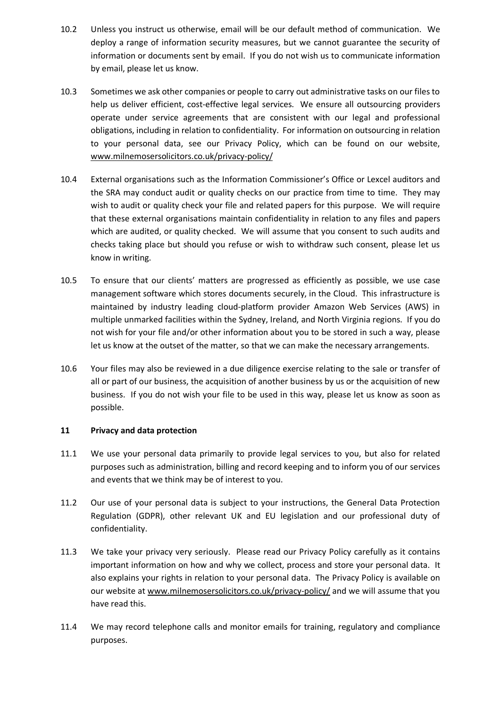- 10.2 Unless you instruct us otherwise, email will be our default method of communication. We deploy a range of information security measures, but we cannot guarantee the security of information or documents sent by email. If you do not wish us to communicate information by email, please let us know.
- 10.3 Sometimes we ask other companies or people to carry out administrative tasks on our files to help us deliver efficient, cost-effective legal services. We ensure all outsourcing providers operate under service agreements that are consistent with our legal and professional obligations, including in relation to confidentiality. For information on outsourcing in relation to your personal data, see our Privacy Policy, which can be found on our website, [www.milnemosersolicitors.co.uk/privacy-policy/](http://www.milnemosersolicitors.co.uk/privacy-policy/)
- 10.4 External organisations such as the Information Commissioner's Office or Lexcel auditors and the SRA may conduct audit or quality checks on our practice from time to time. They may wish to audit or quality check your file and related papers for this purpose. We will require that these external organisations maintain confidentiality in relation to any files and papers which are audited, or quality checked. We will assume that you consent to such audits and checks taking place but should you refuse or wish to withdraw such consent, please let us know in writing.
- 10.5 To ensure that our clients' matters are progressed as efficiently as possible, we use case management software which stores documents securely, in the Cloud. This infrastructure is maintained by industry leading cloud-platform provider Amazon Web Services (AWS) in multiple unmarked facilities within the Sydney, Ireland, and North Virginia regions. If you do not wish for your file and/or other information about you to be stored in such a way, please let us know at the outset of the matter, so that we can make the necessary arrangements.
- 10.6 Your files may also be reviewed in a due diligence exercise relating to the sale or transfer of all or part of our business, the acquisition of another business by us or the acquisition of new business. If you do not wish your file to be used in this way, please let us know as soon as possible.

# **11 Privacy and data protection**

- 11.1 We use your personal data primarily to provide legal services to you, but also for related purposes such as administration, billing and record keeping and to inform you of our services and events that we think may be of interest to you.
- 11.2 Our use of your personal data is subject to your instructions, the General Data Protection Regulation (GDPR), other relevant UK and EU legislation and our professional duty of confidentiality.
- 11.3 We take your privacy very seriously. Please read our Privacy Policy carefully as it contains important information on how and why we collect, process and store your personal data. It also explains your rights in relation to your personal data. The Privacy Policy is available on our website at [www.milnemosersolicitors.co.uk/privacy-policy/](http://www.milnemosersolicitors.co.uk/privacy-policy/) and we will assume that you have read this.
- 11.4 We may record telephone calls and monitor emails for training, regulatory and compliance purposes.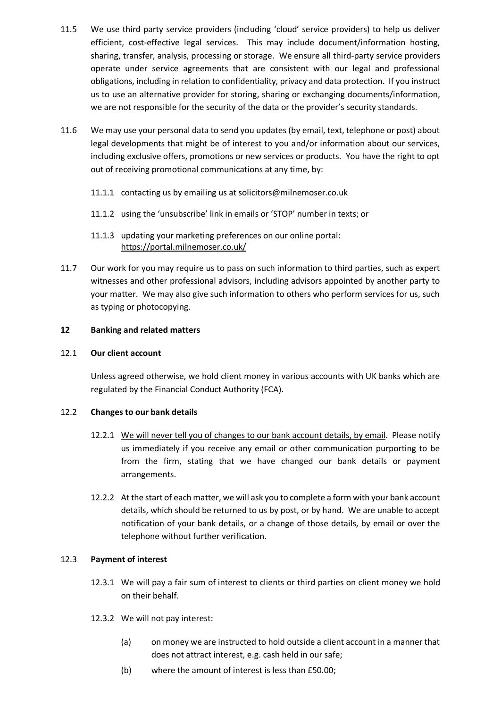- 11.5 We use third party service providers (including 'cloud' service providers) to help us deliver efficient, cost-effective legal services. This may include document/information hosting, sharing, transfer, analysis, processing or storage. We ensure all third-party service providers operate under service agreements that are consistent with our legal and professional obligations, including in relation to confidentiality, privacy and data protection. If you instruct us to use an alternative provider for storing, sharing or exchanging documents/information, we are not responsible for the security of the data or the provider's security standards.
- 11.6 We may use your personal data to send you updates (by email, text, telephone or post) about legal developments that might be of interest to you and/or information about our services, including exclusive offers, promotions or new services or products. You have the right to opt out of receiving promotional communications at any time, by:
	- 11.1.1 contacting us by emailing us at [solicitors@milnemoser.co.uk](mailto:solicitors@milnemoser.co.uk)
	- 11.1.2 using the 'unsubscribe' link in emails or 'STOP' number in texts; or
	- 11.1.3 updating your marketing preferences on our online portal: <https://portal.milnemoser.co.uk/>
- 11.7 Our work for you may require us to pass on such information to third parties, such as expert witnesses and other professional advisors, including advisors appointed by another party to your matter. We may also give such information to others who perform services for us, such as typing or photocopying.

#### **12 Banking and related matters**

#### 12.1 **Our client account**

Unless agreed otherwise, we hold client money in various accounts with UK banks which are regulated by the Financial Conduct Authority (FCA).

#### 12.2 **Changes to our bank details**

- 12.2.1 We will never tell you of changes to our bank account details, by email. Please notify us immediately if you receive any email or other communication purporting to be from the firm, stating that we have changed our bank details or payment arrangements.
- 12.2.2 At the start of each matter, we will ask you to complete a form with your bank account details, which should be returned to us by post, or by hand. We are unable to accept notification of your bank details, or a change of those details, by email or over the telephone without further verification.

#### 12.3 **Payment of interest**

- 12.3.1 We will pay a fair sum of interest to clients or third parties on client money we hold on their behalf.
- 12.3.2 We will not pay interest:
	- (a) on money we are instructed to hold outside a client account in a manner that does not attract interest, e.g. cash held in our safe;
	- (b) where the amount of interest is less than £50.00;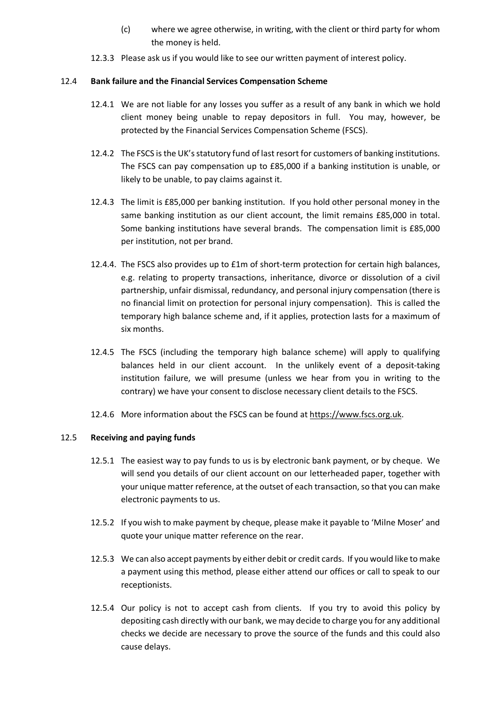- (c) where we agree otherwise, in writing, with the client or third party for whom the money is held.
- 12.3.3 Please ask us if you would like to see our written payment of interest policy.

#### 12.4 **Bank failure and the Financial Services Compensation Scheme**

- 12.4.1 We are not liable for any losses you suffer as a result of any bank in which we hold client money being unable to repay depositors in full. You may, however, be protected by the Financial Services Compensation Scheme (FSCS).
- 12.4.2 The FSCS is the UK's statutory fund of last resort for customers of banking institutions. The FSCS can pay compensation up to £85,000 if a banking institution is unable, or likely to be unable, to pay claims against it.
- 12.4.3 The limit is £85,000 per banking institution. If you hold other personal money in the same banking institution as our client account, the limit remains £85,000 in total. Some banking institutions have several brands. The compensation limit is £85,000 per institution, not per brand.
- 12.4.4. The FSCS also provides up to £1m of short-term protection for certain high balances, e.g. relating to property transactions, inheritance, divorce or dissolution of a civil partnership, unfair dismissal, redundancy, and personal injury compensation (there is no financial limit on protection for personal injury compensation). This is called the temporary high balance scheme and, if it applies, protection lasts for a maximum of six months.
- 12.4.5 The FSCS (including the temporary high balance scheme) will apply to qualifying balances held in our client account. In the unlikely event of a deposit-taking institution failure, we will presume (unless we hear from you in writing to the contrary) we have your consent to disclose necessary client details to the FSCS.
- 12.4.6 More information about the FSCS can be found at https://www.fscs.org.uk.

#### 12.5 **Receiving and paying funds**

- 12.5.1 The easiest way to pay funds to us is by electronic bank payment, or by cheque. We will send you details of our client account on our letterheaded paper, together with your unique matter reference, at the outset of each transaction, so that you can make electronic payments to us.
- 12.5.2 If you wish to make payment by cheque, please make it payable to 'Milne Moser' and quote your unique matter reference on the rear.
- 12.5.3 We can also accept payments by either debit or credit cards. If you would like to make a payment using this method, please either attend our offices or call to speak to our receptionists.
- 12.5.4 Our policy is not to accept cash from clients. If you try to avoid this policy by depositing cash directly with our bank, we may decide to charge you for any additional checks we decide are necessary to prove the source of the funds and this could also cause delays.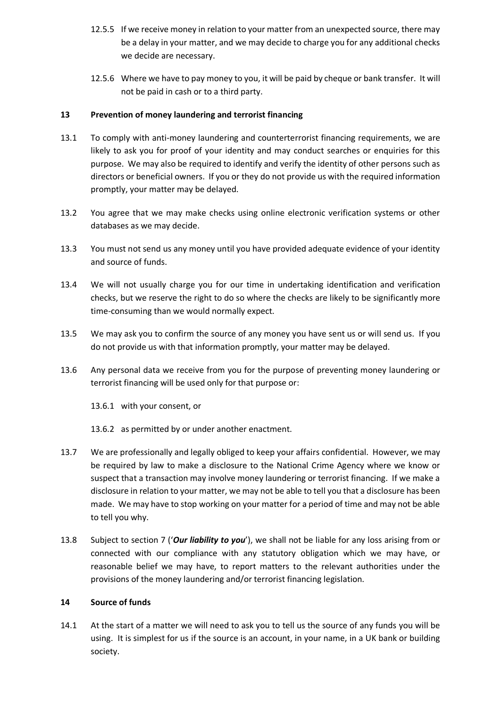- 12.5.5 If we receive money in relation to your matter from an unexpected source, there may be a delay in your matter, and we may decide to charge you for any additional checks we decide are necessary.
- 12.5.6 Where we have to pay money to you, it will be paid by cheque or bank transfer. It will not be paid in cash or to a third party.

### **13 Prevention of money laundering and terrorist financing**

- 13.1 To comply with anti-money laundering and counterterrorist financing requirements, we are likely to ask you for proof of your identity and may conduct searches or enquiries for this purpose. We may also be required to identify and verify the identity of other persons such as directors or beneficial owners. If you or they do not provide us with the required information promptly, your matter may be delayed.
- 13.2 You agree that we may make checks using online electronic verification systems or other databases as we may decide.
- 13.3 You must not send us any money until you have provided adequate evidence of your identity and source of funds.
- 13.4 We will not usually charge you for our time in undertaking identification and verification checks, but we reserve the right to do so where the checks are likely to be significantly more time-consuming than we would normally expect.
- 13.5 We may ask you to confirm the source of any money you have sent us or will send us. If you do not provide us with that information promptly, your matter may be delayed.
- 13.6 Any personal data we receive from you for the purpose of preventing money laundering or terrorist financing will be used only for that purpose or:
	- 13.6.1 with your consent, or

13.6.2 as permitted by or under another enactment.

- 13.7 We are professionally and legally obliged to keep your affairs confidential. However, we may be required by law to make a disclosure to the National Crime Agency where we know or suspect that a transaction may involve money laundering or terrorist financing. If we make a disclosure in relation to your matter, we may not be able to tell you that a disclosure has been made. We may have to stop working on your matter for a period of time and may not be able to tell you why.
- 13.8 Subject to section 7 ('*Our liability to you*'), we shall not be liable for any loss arising from or connected with our compliance with any statutory obligation which we may have, or reasonable belief we may have, to report matters to the relevant authorities under the provisions of the money laundering and/or terrorist financing legislation.

#### **14 Source of funds**

14.1 At the start of a matter we will need to ask you to tell us the source of any funds you will be using. It is simplest for us if the source is an account, in your name, in a UK bank or building society.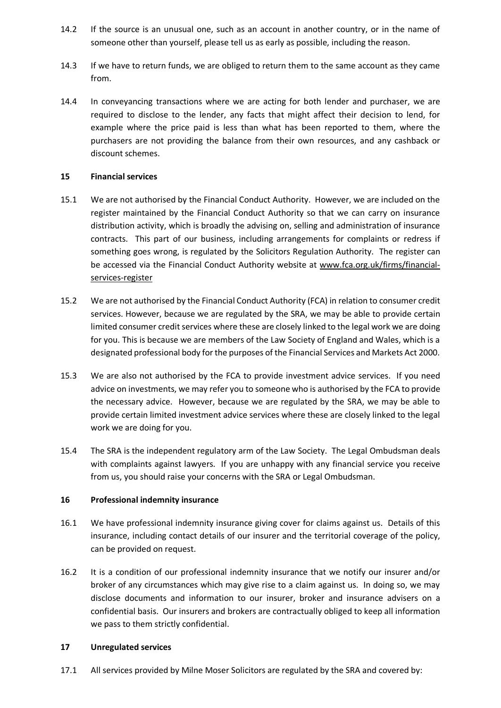- 14.2 If the source is an unusual one, such as an account in another country, or in the name of someone other than yourself, please tell us as early as possible, including the reason.
- 14.3 If we have to return funds, we are obliged to return them to the same account as they came from.
- 14.4 In conveyancing transactions where we are acting for both lender and purchaser, we are required to disclose to the lender, any facts that might affect their decision to lend, for example where the price paid is less than what has been reported to them, where the purchasers are not providing the balance from their own resources, and any cashback or discount schemes.

#### **15 Financial services**

- 15.1 We are not authorised by the Financial Conduct Authority. However, we are included on the register maintained by the Financial Conduct Authority so that we can carry on insurance distribution activity, which is broadly the advising on, selling and administration of insurance contracts. This part of our business, including arrangements for complaints or redress if something goes wrong, is regulated by the Solicitors Regulation Authority. The register can be accessed via the Financial Conduct Authority website at [www.fca.org.uk/firms/financial](http://www.fca.org.uk/firms/financial-services-register)[services-register](http://www.fca.org.uk/firms/financial-services-register)
- 15.2 We are not authorised by the Financial Conduct Authority (FCA) in relation to consumer credit services. However, because we are regulated by the SRA, we may be able to provide certain limited consumer credit services where these are closely linked to the legal work we are doing for you. This is because we are members of the Law Society of England and Wales, which is a designated professional body for the purposes of the Financial Services and Markets Act 2000.
- 15.3 We are also not authorised by the FCA to provide investment advice services. If you need advice on investments, we may refer you to someone who is authorised by the FCA to provide the necessary advice. However, because we are regulated by the SRA, we may be able to provide certain limited investment advice services where these are closely linked to the legal work we are doing for you.
- 15.4 The SRA is the independent regulatory arm of the Law Society. The Legal Ombudsman deals with complaints against lawyers. If you are unhappy with any financial service you receive from us, you should raise your concerns with the SRA or Legal Ombudsman.

# **16 Professional indemnity insurance**

- 16.1 We have professional indemnity insurance giving cover for claims against us. Details of this insurance, including contact details of our insurer and the territorial coverage of the policy, can be provided on request.
- 16.2 It is a condition of our professional indemnity insurance that we notify our insurer and/or broker of any circumstances which may give rise to a claim against us. In doing so, we may disclose documents and information to our insurer, broker and insurance advisers on a confidential basis. Our insurers and brokers are contractually obliged to keep all information we pass to them strictly confidential.

#### **17 Unregulated services**

17.1 All services provided by Milne Moser Solicitors are regulated by the SRA and covered by: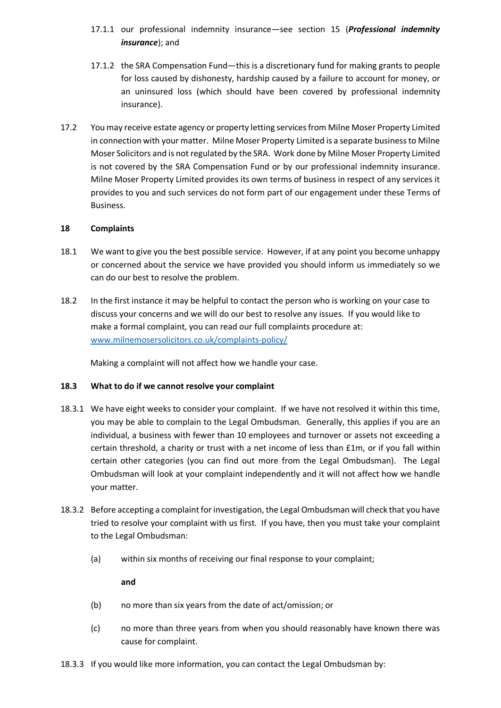- 17.1.1 our professional indemnity insurance—see section 15 (*Professional indemnity insurance*); and
- 17.1.2 the SRA Compensation Fund—this is a discretionary fund for making grants to people for loss caused by dishonesty, hardship caused by a failure to account for money, or an uninsured loss (which should have been covered by professional indemnity insurance).
- 17.2 You may receive estate agency or property letting services from Milne Moser Property Limited in connection with your matter. Milne Moser Property Limited is a separate business to Milne Moser Solicitors and is not regulated by the SRA. Work done by Milne Moser Property Limited is not covered by the SRA Compensation Fund or by our professional indemnity insurance. Milne Moser Property Limited provides its own terms of business in respect of any services it provides to you and such services do not form part of our engagement under these Terms of Business.

#### **18 Complaints**

- 18.1 We want to give you the best possible service. However, if at any point you become unhappy or concerned about the service we have provided you should inform us immediately so we can do our best to resolve the problem.
- 18.2 In the first instance it may be helpful to contact the person who is working on your case to discuss your concerns and we will do our best to resolve any issues. If you would like to make a formal complaint, you can read our full complaints procedure at: [www.milnemosersolicitors.co.uk/complaints-policy/](http://www.milnemosersolicitors.co.uk/complaints-policy/)

Making a complaint will not affect how we handle your case.

# **18.3 What to do if we cannot resolve your complaint**

- 18.3.1 We have eight weeks to consider your complaint. If we have not resolved it within this time, you may be able to complain to the Legal Ombudsman. Generally, this applies if you are an individual, a business with fewer than 10 employees and turnover or assets not exceeding a certain threshold, a charity or trust with a net income of less than £1m, or if you fall within certain other categories (you can find out more from the Legal Ombudsman). The Legal Ombudsman will look at your complaint independently and it will not affect how we handle your matter.
- 18.3.2 Before accepting a complaint for investigation, the Legal Ombudsman will check that you have tried to resolve your complaint with us first. If you have, then you must take your complaint to the Legal Ombudsman:
	- (a) within six months of receiving our final response to your complaint;

**and**

- (b) no more than six years from the date of act/omission; or
- (c) no more than three years from when you should reasonably have known there was cause for complaint.
- 18.3.3 If you would like more information, you can contact the Legal Ombudsman by: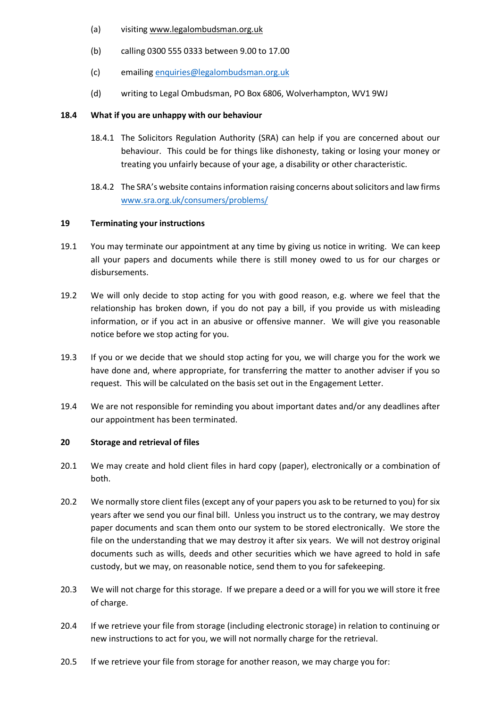- (a) visiting www.legalombudsman.org.uk
- (b) calling 0300 555 0333 between 9.00 to 17.00
- (c) emailing [enquiries@legalombudsman.org.uk](mailto:enquiries@legalombudsman.org.uk)
- (d) writing to Legal Ombudsman, PO Box 6806, Wolverhampton, WV1 9WJ

# **18.4 What if you are unhappy with our behaviour**

- 18.4.1 The Solicitors Regulation Authority (SRA) can help if you are concerned about our behaviour. This could be for things like dishonesty, taking or losing your money or treating you unfairly because of your age, a disability or other characteristic.
- 18.4.2 The SRA's website contains information raising concerns about solicitors and law firms [www.sra.org.uk/consumers/problems/](http://www.sra.org.uk/consumers/problems/)

# **19 Terminating your instructions**

- 19.1 You may terminate our appointment at any time by giving us notice in writing. We can keep all your papers and documents while there is still money owed to us for our charges or disbursements.
- 19.2 We will only decide to stop acting for you with good reason, e.g. where we feel that the relationship has broken down, if you do not pay a bill, if you provide us with misleading information, or if you act in an abusive or offensive manner. We will give you reasonable notice before we stop acting for you.
- 19.3 If you or we decide that we should stop acting for you, we will charge you for the work we have done and, where appropriate, for transferring the matter to another adviser if you so request. This will be calculated on the basis set out in the Engagement Letter.
- 19.4 We are not responsible for reminding you about important dates and/or any deadlines after our appointment has been terminated.

# **20 Storage and retrieval of files**

- 20.1 We may create and hold client files in hard copy (paper), electronically or a combination of both.
- 20.2 We normally store client files (except any of your papers you ask to be returned to you) for six years after we send you our final bill. Unless you instruct us to the contrary, we may destroy paper documents and scan them onto our system to be stored electronically. We store the file on the understanding that we may destroy it after six years. We will not destroy original documents such as wills, deeds and other securities which we have agreed to hold in safe custody, but we may, on reasonable notice, send them to you for safekeeping.
- 20.3 We will not charge for this storage. If we prepare a deed or a will for you we will store it free of charge.
- 20.4 If we retrieve your file from storage (including electronic storage) in relation to continuing or new instructions to act for you, we will not normally charge for the retrieval.
- 20.5 If we retrieve your file from storage for another reason, we may charge you for: